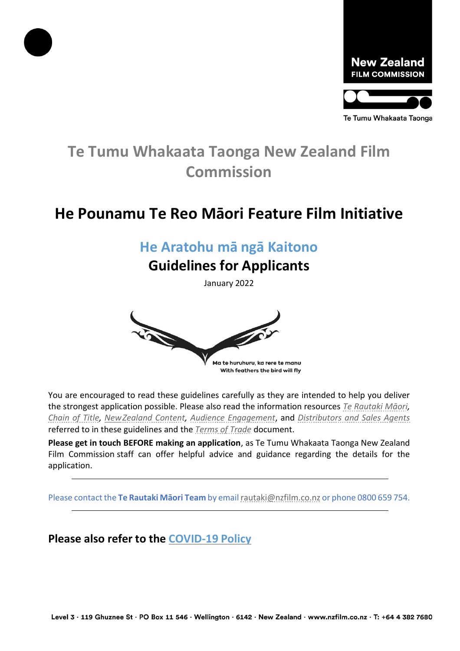



# **Te Tumu Whakaata Taonga New Zealand Film Commission**

# **He Pounamu Te Reo Māori Feature Film Initiative**

### **He Aratohu mā ngā Kaitono**

#### **Guidelines for Applicants**

January 2022



You are encouraged to read these guidelines carefully as they are intended to help you deliver the strongest application possible. Please also read the information resources *[Te Rautaki Māor](https://www.nzfilm.co.nz/resources/te-rautaki-m-ori-english)i, [Chain of Title,](https://www.nzfilm.co.nz/resources/chain-title-information-sheet) [NewZealand Content,](https://www.nzfilm.co.nz/resources/new-zealand-content-information-sheet) [Audience Engagement](https://www.nzfilm.co.nz/resources/audience-engagement-plan-information-sheet)*, and *[Distributors and Sales Agents](https://www.nzfilm.co.nz/resources/distributor-and-sales-agent-information-sheet)* referred to in these guidelines and the *Terms [of Trade](https://www.nzfilm.co.nz/resources/terms-trade)* document.

**Please get in touch BEFORE making an application**, as Te Tumu Whakaata Taonga New Zealand Film Commission staff can offer helpful advice and guidance regarding the details for the application.

Please contact the **Te Rautaki Māori Team** by emai[lrautaki@nzfilm.co.nz](mailto:rautaki@nzfilm.co.nz) or phone 0800 659 754.

**Please also refer to the [COVID-19](https://www.nzfilm.co.nz/resources/covid-19-policy) Policy**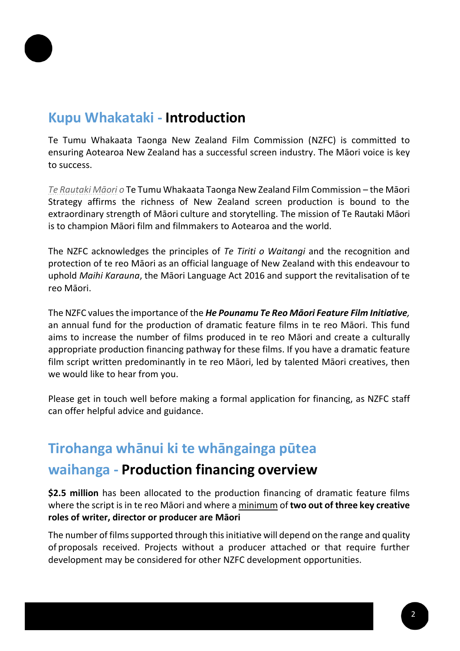

## **Kupu Whakataki - Introduction**

Te Tumu Whakaata Taonga New Zealand Film Commission (NZFC) is committed to ensuring Aotearoa New Zealand has a successful screen industry. The Māori voice is key to success.

*[Te Rautaki Māori](https://www.nzfilm.co.nz/new-zealand/te-rautaki-m%C4%81ori) o* Te Tumu Whakaata Taonga New Zealand Film Commission – the Māori Strategy affirms the richness of New Zealand screen production is bound to the extraordinary strength of Māori culture and storytelling. The mission of Te Rautaki Māori is to champion Māori film and filmmakers to Aotearoa and the world.

The NZFC acknowledges the principles of *Te Tiriti o Waitangi* and the recognition and protection of te reo Māori as an official language of New Zealand with this endeavour to uphold *Maihi Karauna*, the Māori Language Act 2016 and support the revitalisation of te reo Māori.

The NZFC values the importance of the *He Pounamu Te Reo Māori Feature Film Initiative,*  an annual fund for the production of dramatic feature films in te reo Māori. This fund aims to increase the number of films produced in te reo Māori and create a culturally appropriate production financing pathway for these films. If you have a dramatic feature film script written predominantly in te reo Māori, led by talented Māori creatives, then we would like to hear from you.

Please get in touch well before making a formal application for financing, as NZFC staff can offer helpful advice and guidance.

# **Tirohanga whānui ki te whāngainga pūtea**

#### **waihanga - Production financing overview**

**\$2.5 million** has been allocated to the production financing of dramatic feature films where the script isin te reo Māori and where a minimum of **two out of three key creative roles of writer, director or producer are Māori**

The number of films supported through this initiative will depend on the range and quality of proposals received. Projects without a producer attached or that require further development may be considered for other NZFC development opportunities.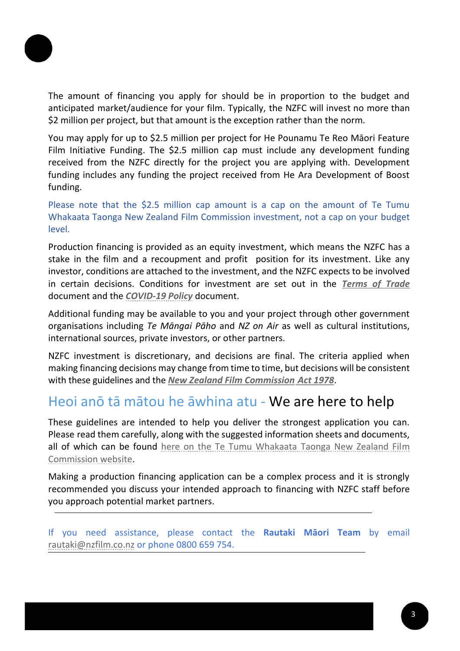

The amount of financing you apply for should be in proportion to the budget and anticipated market/audience for your film. Typically, the NZFC will invest no more than \$2 million per project, but that amount is the exception rather than the norm.

You may apply for up to \$2.5 million per project for He Pounamu Te Reo Māori Feature Film Initiative Funding. The \$2.5 million cap must include any development funding received from the NZFC directly for the project you are applying with. Development funding includes any funding the project received from He Ara Development of Boost funding.

Please note that the \$2.5 million cap amount is a cap on the amount of Te Tumu Whakaata Taonga New Zealand Film Commission investment, not a cap on your budget level.

Production financing is provided as an equity investment, which means the NZFC has a stake in the film and a recoupment and profit position for its investment. Like any investor, conditions are attached to the investment, and the NZFC expects to be involved in certain decisions. Conditions for investment are set out in the *[Terms of Trade](https://www.nzfilm.co.nz/resources/terms-trade)* document and the *[COVID-19](https://www.nzfilm.co.nz/resources/covid-19-policy) Policy* document.

Additional funding may be available to you and your project through other government organisations including *Te Māngai Pāho* and *NZ on Air* as well as cultural institutions, international sources, private investors, or other partners.

NZFC investment is discretionary, and decisions are final. The criteria applied when making financing decisions may change from time to time, but decisions will be consistent with these guidelines and the *New Zealand Film [Commission](https://www.legislation.govt.nz/act/public/1978/0061/latest/DLM22640.html) Act [1978](https://www.legislation.govt.nz/act/public/1978/0061/latest/DLM22640.html)*.

#### Heoi anō tā mātou he āwhina atu - We are here to help

These guidelines are intended to help you deliver the strongest application you can. Please read them carefully, along with the suggested information sheets and documents, all of which can be found [here on the Te Tumu Whakaata Taonga New Zealand Film](https://www.nzfilm.co.nz/funds/he-pounamu-te-reo-maori-feature-film-initiative) [Commission website.](https://www.nzfilm.co.nz/funds/he-pounamu-te-reo-maori-feature-film-initiative)

Making a production financing application can be a complex process and it is strongly recommended you discuss your intended approach to financing with NZFC staff before you approach potential market partners.

If you need assistance, please contact the **Rautaki Māori Team** by email [rautaki@nzfilm.co.nz](mailto:rautaki@nzfilm.co.nz) or phone 0800 659 754.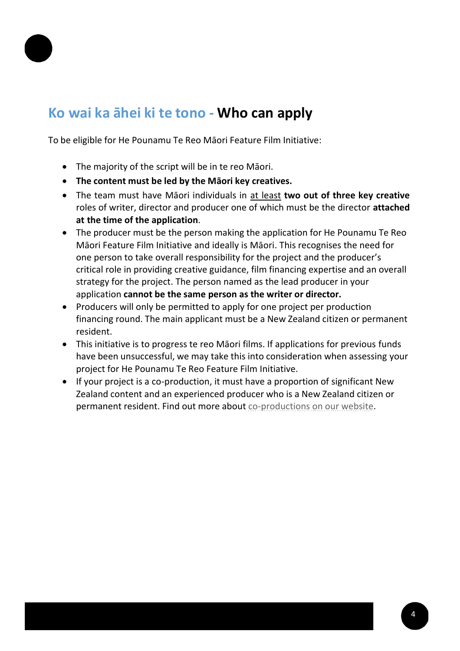

# **Ko wai ka āhei ki te tono - Who can apply**

To be eligible for He Pounamu Te Reo Māori Feature Film Initiative:

- The majority of the script will be in te reo Māori.
- **The content must be led by the Māori key creatives.**
- The team must have Māori individuals in at least **two out of three key creative** roles of writer, director and producer one of which must be the director **attached at the time of the application**.
- The producer must be the person making the application for He Pounamu Te Reo Māori Feature Film Initiative and ideally is Māori. This recognises the need for one person to take overall responsibility for the project and the producer's critical role in providing creative guidance, film financing expertise and an overall strategy for the project. The person named as the lead producer in your application **cannot be the same person as the writer or director.**
- Producers will only be permitted to apply for one project per production financing round. The main applicant must be a New Zealand citizen or permanent resident.
- This initiative is to progress te reo Māori films. If applications for previous funds have been unsuccessful, we may take this into consideration when assessing your project for He Pounamu Te Reo Feature Film Initiative.
- If your project is a co-production, it must have a proportion of significant New Zealand content and an experienced producer who is a New Zealand citizen or permanent resident. Find out more about [co-productions](https://www.nzfilm.co.nz/incentives-co-productions/co-productions) on our website.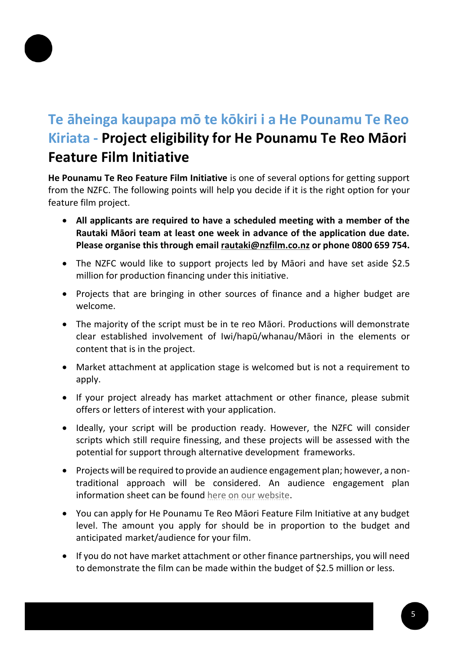

# **Te āheinga kaupapa mō te kōkiri i a He Pounamu Te Reo Kiriata - Project eligibility for He Pounamu Te Reo Māori Feature Film Initiative**

**He Pounamu Te Reo Feature Film Initiative** is one of several options for getting support from the NZFC. The following points will help you decide if it is the right option for your feature film project.

- **All applicants are required to have a scheduled meeting with a member of the Rautaki Māori team at least one week in advance of the application due date. Please organise this through email [rautaki@nzfilm.co.nz](mailto:rautaki@nzfilm.co.nz) or phone 0800 659 754.**
- The NZFC would like to support projects led by Māori and have set aside \$2.5 million for production financing under this initiative.
- Projects that are bringing in other sources of finance and a higher budget are welcome.
- The majority of the script must be in te reo Māori. Productions will demonstrate clear established involvement of Iwi/hapū/whanau/Māori in the elements or content that is in the project.
- Market attachment at application stage is welcomed but is not a requirement to apply.
- If your project already has market attachment or other finance, please submit offers or letters of interest with your application.
- Ideally, your script will be production ready. However, the NZFC will consider scripts which still require finessing, and these projects will be assessed with the potential for support through alternative development frameworks.
- Projects will be required to provide an audience engagement plan; however, a nontraditional approach will be considered. An audience engagement plan information sheet can be found here on [our website.](https://www.nzfilm.co.nz/resources/audience-engagement-plan-information-sheet)
- You can apply for He Pounamu Te Reo Māori Feature Film Initiative at any budget level. The amount you apply for should be in proportion to the budget and anticipated market/audience for your film.
- If you do not have market attachment or other finance partnerships, you will need to demonstrate the film can be made within the budget of \$2.5 million or less.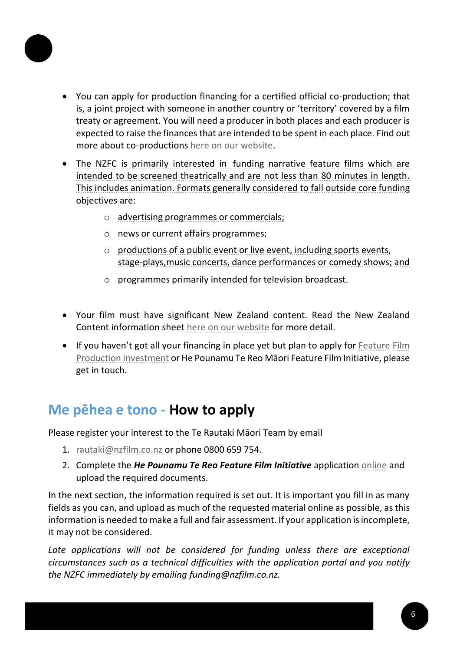

- You can apply for production financing for a certified official co-production; that is, a joint project with someone in another country or 'territory' covered by a film treaty or agreement. You will need a producer in both places and each producer is expected to raise the finances that are intended to be spent in each place. Find out more about co-productions here on [our website.](https://www.nzfilm.co.nz/incentives-co-productions/co-productions)
- The NZFC is primarily interested in funding narrative feature films which are intended to be screened theatrically and are not less than 80 minutes in length. This includes animation. Formats generally considered to fall outside core funding objectives are:
	- o advertising programmes or commercials;
	- o news or current affairs programmes;
	- o productions of a public event or live event, including sports events, stage-plays,music concerts, dance performances or comedy shows; and
	- o programmes primarily intended for television broadcast.
- Your film must have significant New Zealand content. Read the New Zealand Content information sheet here [on our website](https://www.nzfilm.co.nz/resources/new-zealand-content-information-sheet) for more detail.
- If you haven't got all your financing in place yet but plan to apply for [Feature](https://www.nzfilm.co.nz/funds/feature-film-production-investment) Film [Production Investment](https://www.nzfilm.co.nz/funds/feature-film-production-investment) or He Pounamu Te Reo Māori Feature Film Initiative, please get in touch.

### **Me pēhea e tono - How to apply**

Please register your interest to the Te Rautaki Māori Team by email

- 1. [rautaki@nzfilm.co.nz](mailto:rautaki@nzfilm.co.nz) or phone 0800 659 754.
- 2. Complete the *He Pounamu Te Reo Feature Film Initiative* application [online](https://funding.nzfilm.co.nz/) and upload the required documents.

In the next section, the information required is set out. It is important you fill in as many fields as you can, and upload as much of the requested material online as possible, as this information is needed to make a full and fair assessment. If your application is incomplete, it may not be considered.

Late applications will not be considered for funding unless there are exceptional *circumstances such as a technical difficulties with the application portal and you notify the NZFC immediately by emailing funding@nzfilm.co.nz.*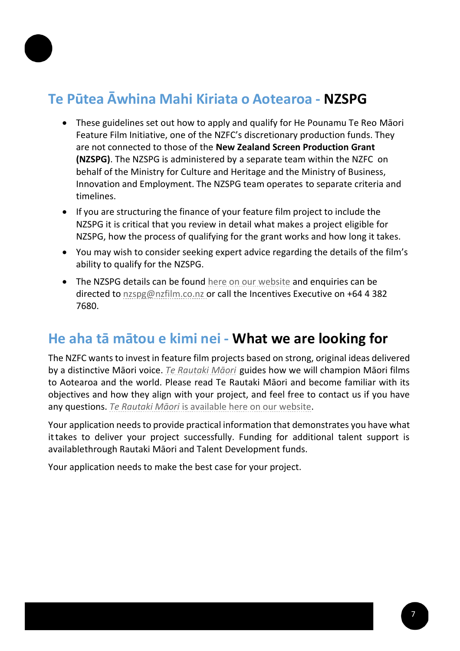

# **Te Pūtea Āwhina Mahi Kiriata o Aotearoa - NZSPG**

- These guidelines set out how to apply and qualify for He Pounamu Te Reo Māori Feature Film Initiative, one of the NZFC's discretionary production funds. They are not connected to those of the **New Zealand Screen Production Grant (NZSPG)**. The NZSPG is administered by a separate team within the NZFC on behalf of the Ministry for Culture and Heritage and the Ministry of Business, Innovation and Employment. The NZSPG team operates to separate criteria and timelines.
- If you are structuring the finance of your feature film project to include the NZSPG it is critical that you review in detail what makes a project eligible for NZSPG, how the process of qualifying for the grant works and how long it takes.
- You may wish to consider seeking expert advice regarding the details of the film's ability to qualify for the NZSPG.
- The NZSPG details can be found [here on our website](https://www.nzfilm.co.nz/incentives-co-productions/nzspg-nz) and enquiries can be directed to [nzspg@nzfilm.co.nz o](mailto:nzspg@nzfilm.co.nz)r call the Incentives Executive on +64 4 382 7680.

### **He aha tā mātou e kimi nei - What we are looking for**

The NZFC wants to invest in feature film projects based on strong, original ideas delivered by a distinctive Māori voice. *[Te Rautaki Māori](https://www.nzfilm.co.nz/about/te-rautaki-m%C4%81ori)* guides how we will champion Māori films to Aotearoa and the world. Please read Te Rautaki Māori and become familiar with its objectives and how they align with your project, and feel free to contact us if you have any questions. *Te Rautaki Māori* is available here on our [website.](https://www.nzfilm.co.nz/about/te-rautaki-m%C4%81ori)

Your application needs to provide practical information that demonstrates you have what ittakes to deliver your project successfully. Funding for additional talent support is availablethrough Rautaki Māori and Talent Development funds.

Your application needs to make the best case for your project.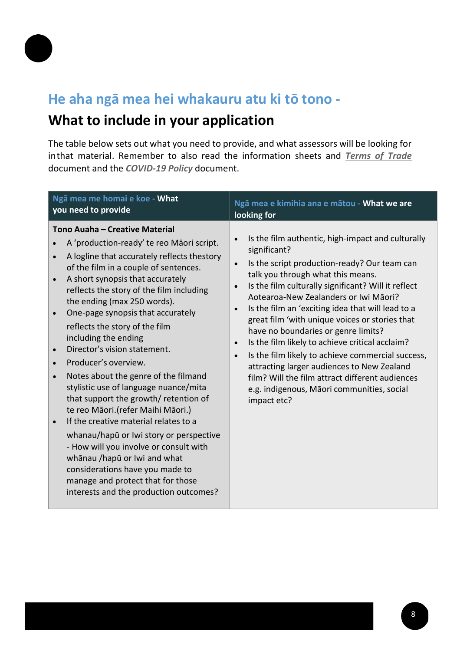

## **He aha ngā mea hei whakauru atu ki tō tono -**

## **What to include in your application**

The table below sets out what you need to provide, and what assessors will be looking for inthat material. Remember to also read the information sheets and *[Terms](https://www.nzfilm.co.nz/resources/terms-trade) of Trade* document and the *[COVID-19](https://www.nzfilm.co.nz/resources/covid-19-policy) Policy* document.

| Ngā mea me homai e koe - What                                                                                                                                                                                                                                                                                                                                                                                                                                                                                                                                                                                                                                                                                                                                                                                                                                                                                                                                                                     | Ngā mea e kimihia ana e mātou - What we are                                                                                                                                                                                                                                                                                                                                                                                                                                                                                                                                                                                                                                                                                                              |
|---------------------------------------------------------------------------------------------------------------------------------------------------------------------------------------------------------------------------------------------------------------------------------------------------------------------------------------------------------------------------------------------------------------------------------------------------------------------------------------------------------------------------------------------------------------------------------------------------------------------------------------------------------------------------------------------------------------------------------------------------------------------------------------------------------------------------------------------------------------------------------------------------------------------------------------------------------------------------------------------------|----------------------------------------------------------------------------------------------------------------------------------------------------------------------------------------------------------------------------------------------------------------------------------------------------------------------------------------------------------------------------------------------------------------------------------------------------------------------------------------------------------------------------------------------------------------------------------------------------------------------------------------------------------------------------------------------------------------------------------------------------------|
| you need to provide                                                                                                                                                                                                                                                                                                                                                                                                                                                                                                                                                                                                                                                                                                                                                                                                                                                                                                                                                                               | looking for                                                                                                                                                                                                                                                                                                                                                                                                                                                                                                                                                                                                                                                                                                                                              |
| Tono Auaha - Creative Material<br>A 'production-ready' te reo Māori script.<br>$\bullet$<br>A logline that accurately reflects thestory<br>$\bullet$<br>of the film in a couple of sentences.<br>A short synopsis that accurately<br>$\bullet$<br>reflects the story of the film including<br>the ending (max 250 words).<br>One-page synopsis that accurately<br>$\bullet$<br>reflects the story of the film<br>including the ending<br>Director's vision statement.<br>$\bullet$<br>Producer's overview.<br>$\bullet$<br>Notes about the genre of the filmand<br>$\bullet$<br>stylistic use of language nuance/mita<br>that support the growth/ retention of<br>te reo Māori. (refer Maihi Māori.)<br>If the creative material relates to a<br>$\bullet$<br>whanau/hapū or Iwi story or perspective<br>- How will you involve or consult with<br>whānau /hapū or Iwi and what<br>considerations have you made to<br>manage and protect that for those<br>interests and the production outcomes? | Is the film authentic, high-impact and culturally<br>$\bullet$<br>significant?<br>Is the script production-ready? Our team can<br>$\bullet$<br>talk you through what this means.<br>Is the film culturally significant? Will it reflect<br>$\bullet$<br>Aotearoa-New Zealanders or Iwi Māori?<br>Is the film an 'exciting idea that will lead to a<br>$\bullet$<br>great film 'with unique voices or stories that<br>have no boundaries or genre limits?<br>Is the film likely to achieve critical acclaim?<br>$\bullet$<br>Is the film likely to achieve commercial success,<br>$\bullet$<br>attracting larger audiences to New Zealand<br>film? Will the film attract different audiences<br>e.g. indigenous, Māori communities, social<br>impact etc? |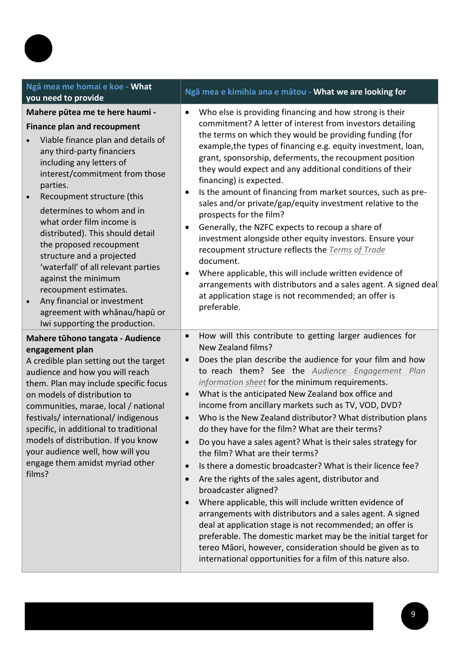| Ngā mea me homai e koe - What<br>you need to provide                                                                                                                                                                                                                                                                                                                                                                                                                                                                                                                                                          | Ngā mea e kimihia ana e mātou - What we are looking for                                                                                                                                                                                                                                                                                                                                                                                                                                                                                                                                                                                                                                                                                                                                                                                                                                                                                                                                                                                                                                                                                                                                                                     |  |
|---------------------------------------------------------------------------------------------------------------------------------------------------------------------------------------------------------------------------------------------------------------------------------------------------------------------------------------------------------------------------------------------------------------------------------------------------------------------------------------------------------------------------------------------------------------------------------------------------------------|-----------------------------------------------------------------------------------------------------------------------------------------------------------------------------------------------------------------------------------------------------------------------------------------------------------------------------------------------------------------------------------------------------------------------------------------------------------------------------------------------------------------------------------------------------------------------------------------------------------------------------------------------------------------------------------------------------------------------------------------------------------------------------------------------------------------------------------------------------------------------------------------------------------------------------------------------------------------------------------------------------------------------------------------------------------------------------------------------------------------------------------------------------------------------------------------------------------------------------|--|
| Mahere pūtea me te here haumi -<br><b>Finance plan and recoupment</b><br>Viable finance plan and details of<br>any third-party financiers<br>including any letters of<br>interest/commitment from those<br>parties.<br>Recoupment structure (this<br>$\bullet$<br>determines to whom and in<br>what order film income is<br>distributed). This should detail<br>the proposed recoupment<br>structure and a projected<br>'waterfall' of all relevant parties<br>against the minimum<br>recoupment estimates.<br>Any financial or investment<br>agreement with whānau/hapū or<br>Iwi supporting the production. | Who else is providing financing and how strong is their<br>$\bullet$<br>commitment? A letter of interest from investors detailing<br>the terms on which they would be providing funding (for<br>example, the types of financing e.g. equity investment, loan,<br>grant, sponsorship, deferments, the recoupment position<br>they would expect and any additional conditions of their<br>financing) is expected.<br>Is the amount of financing from market sources, such as pre-<br>$\bullet$<br>sales and/or private/gap/equity investment relative to the<br>prospects for the film?<br>Generally, the NZFC expects to recoup a share of<br>$\bullet$<br>investment alongside other equity investors. Ensure your<br>recoupment structure reflects the Terms of Trade<br>document.<br>Where applicable, this will include written evidence of<br>٠<br>arrangements with distributors and a sales agent. A signed deal<br>at application stage is not recommended; an offer is<br>preferable.                                                                                                                                                                                                                               |  |
| Mahere tūhono tangata - Audience<br>engagement plan<br>A credible plan setting out the target<br>audience and how you will reach<br>them. Plan may include specific focus<br>on models of distribution to<br>communities, marae, local / national<br>festivals/international/indigenous<br>specific, in additional to traditional<br>models of distribution. If you know<br>your audience well, how will you<br>engage them amidst myriad other<br>films?                                                                                                                                                     | How will this contribute to getting larger audiences for<br>$\bullet$<br>New Zealand films?<br>Does the plan describe the audience for your film and how<br>$\bullet$<br>to reach them? See the Audience Engagement Plan<br>information sheet for the minimum requirements.<br>What is the anticipated New Zealand box office and<br>$\bullet$<br>income from ancillary markets such as TV, VOD, DVD?<br>Who is the New Zealand distributor? What distribution plans<br>$\bullet$<br>do they have for the film? What are their terms?<br>Do you have a sales agent? What is their sales strategy for<br>$\bullet$<br>the film? What are their terms?<br>Is there a domestic broadcaster? What is their licence fee?<br>$\bullet$<br>Are the rights of the sales agent, distributor and<br>$\bullet$<br>broadcaster aligned?<br>Where applicable, this will include written evidence of<br>$\bullet$<br>arrangements with distributors and a sales agent. A signed<br>deal at application stage is not recommended; an offer is<br>preferable. The domestic market may be the initial target for<br>tereo Māori, however, consideration should be given as to<br>international opportunities for a film of this nature also. |  |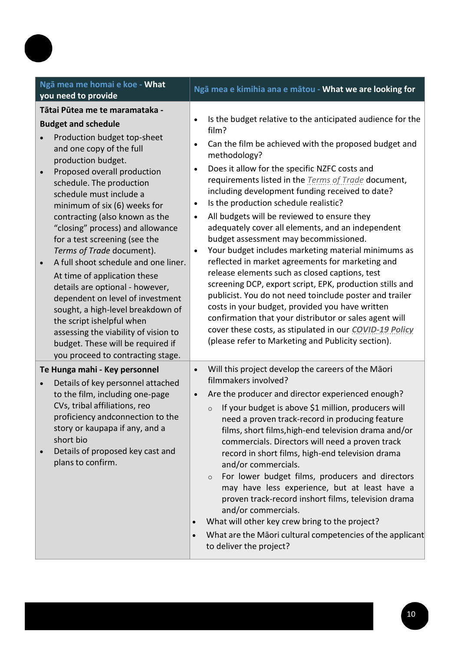| Ngā mea me homai e koe - What<br>you need to provide                                                                                                                                                                                                                                                                                                                                                                                                                                                                                                                                                                                                                                                                                                                              | Ngā mea e kimihia ana e mātou - What we are looking for                                                                                                                                                                                                                                                                                                                                                                                                                                                                                                                                                                                                                                                                                                                                                                                                                                                                                                                                                                                                                                       |
|-----------------------------------------------------------------------------------------------------------------------------------------------------------------------------------------------------------------------------------------------------------------------------------------------------------------------------------------------------------------------------------------------------------------------------------------------------------------------------------------------------------------------------------------------------------------------------------------------------------------------------------------------------------------------------------------------------------------------------------------------------------------------------------|-----------------------------------------------------------------------------------------------------------------------------------------------------------------------------------------------------------------------------------------------------------------------------------------------------------------------------------------------------------------------------------------------------------------------------------------------------------------------------------------------------------------------------------------------------------------------------------------------------------------------------------------------------------------------------------------------------------------------------------------------------------------------------------------------------------------------------------------------------------------------------------------------------------------------------------------------------------------------------------------------------------------------------------------------------------------------------------------------|
| Tātai Pūtea me te maramataka -<br><b>Budget and schedule</b><br>Production budget top-sheet<br>$\bullet$<br>and one copy of the full<br>production budget.<br>Proposed overall production<br>$\bullet$<br>schedule. The production<br>schedule must include a<br>minimum of six (6) weeks for<br>contracting (also known as the<br>"closing" process) and allowance<br>for a test screening (see the<br>Terms of Trade document).<br>A full shoot schedule and one liner.<br>$\bullet$<br>At time of application these<br>details are optional - however,<br>dependent on level of investment<br>sought, a high-level breakdown of<br>the script ishelpful when<br>assessing the viability of vision to<br>budget. These will be required if<br>you proceed to contracting stage. | Is the budget relative to the anticipated audience for the<br>$\bullet$<br>film?<br>Can the film be achieved with the proposed budget and<br>$\bullet$<br>methodology?<br>Does it allow for the specific NZFC costs and<br>$\bullet$<br>requirements listed in the Terms of Trade document,<br>including development funding received to date?<br>Is the production schedule realistic?<br>$\bullet$<br>All budgets will be reviewed to ensure they<br>$\bullet$<br>adequately cover all elements, and an independent<br>budget assessment may becommissioned.<br>Your budget includes marketing material minimums as<br>$\bullet$<br>reflected in market agreements for marketing and<br>release elements such as closed captions, test<br>screening DCP, export script, EPK, production stills and<br>publicist. You do not need toinclude poster and trailer<br>costs in your budget, provided you have written<br>confirmation that your distributor or sales agent will<br>cover these costs, as stipulated in our COVID-19 Policy<br>(please refer to Marketing and Publicity section). |
| Te Hunga mahi - Key personnel<br>Details of key personnel attached<br>$\bullet$<br>to the film, including one-page<br>CVs, tribal affiliations, reo<br>proficiency andconnection to the<br>story or kaupapa if any, and a<br>short bio<br>Details of proposed key cast and<br>$\bullet$<br>plans to confirm.                                                                                                                                                                                                                                                                                                                                                                                                                                                                      | Will this project develop the careers of the Māori<br>$\bullet$<br>filmmakers involved?<br>Are the producer and director experienced enough?<br>$\bullet$<br>If your budget is above \$1 million, producers will<br>$\circ$<br>need a proven track-record in producing feature<br>films, short films, high-end television drama and/or<br>commercials. Directors will need a proven track<br>record in short films, high-end television drama<br>and/or commercials.<br>For lower budget films, producers and directors<br>$\circ$<br>may have less experience, but at least have a<br>proven track-record inshort films, television drama<br>and/or commercials.<br>What will other key crew bring to the project?<br>$\bullet$<br>What are the Māori cultural competencies of the applicant<br>$\bullet$<br>to deliver the project?                                                                                                                                                                                                                                                         |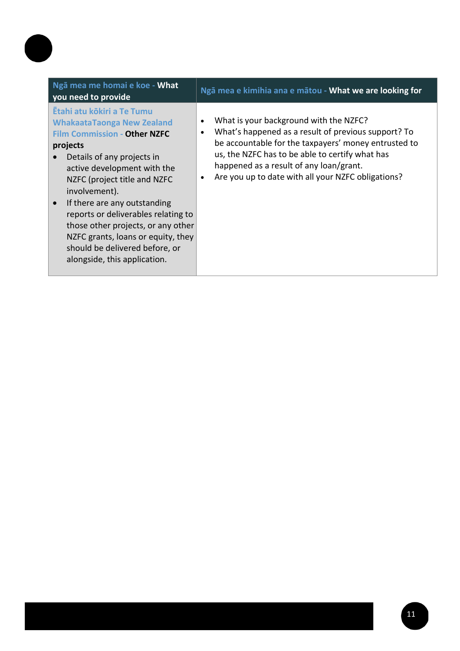| Ngā mea me homai e koe - What<br>you need to provide                                                                                                                                                                                                                                                                                                                                                                                                  | Ngā mea e kimihia ana e mātou - What we are looking for                                                                                                                                                                                                                                                   |
|-------------------------------------------------------------------------------------------------------------------------------------------------------------------------------------------------------------------------------------------------------------------------------------------------------------------------------------------------------------------------------------------------------------------------------------------------------|-----------------------------------------------------------------------------------------------------------------------------------------------------------------------------------------------------------------------------------------------------------------------------------------------------------|
| Ētahi atu kōkiri a Te Tumu<br><b>WhakaataTaonga New Zealand</b><br><b>Film Commission - Other NZFC</b><br>projects<br>Details of any projects in<br>active development with the<br>NZFC (project title and NZFC<br>involvement).<br>If there are any outstanding<br>reports or deliverables relating to<br>those other projects, or any other<br>NZFC grants, loans or equity, they<br>should be delivered before, or<br>alongside, this application. | What is your background with the NZFC?<br>What's happened as a result of previous support? To<br>be accountable for the taxpayers' money entrusted to<br>us, the NZFC has to be able to certify what has<br>happened as a result of any loan/grant.<br>Are you up to date with all your NZFC obligations? |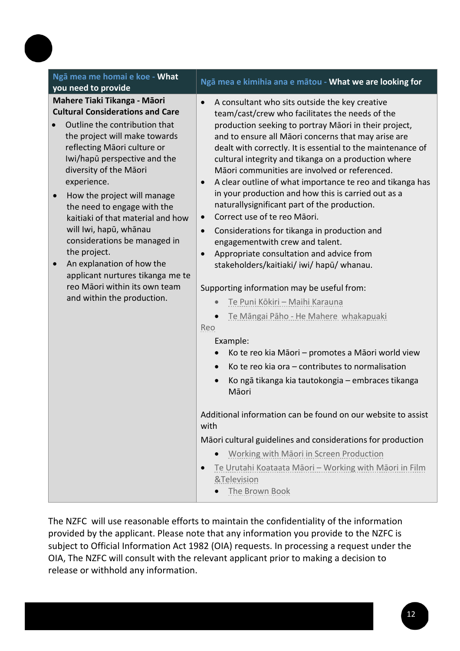| Ngā mea me homai e koe - What<br>you need to provide                                                                                                                                                                                                                                                                                                                                                                                                                                                                                                           | Ngā mea e kimihia ana e mātou - What we are looking for                                                                                                                                                                                                                                                                                                                                                                                                                                                                                                                                                                                                                                                                                                                                                                                                                                                                                                                                                                                                                                                                                                                                                                               |
|----------------------------------------------------------------------------------------------------------------------------------------------------------------------------------------------------------------------------------------------------------------------------------------------------------------------------------------------------------------------------------------------------------------------------------------------------------------------------------------------------------------------------------------------------------------|---------------------------------------------------------------------------------------------------------------------------------------------------------------------------------------------------------------------------------------------------------------------------------------------------------------------------------------------------------------------------------------------------------------------------------------------------------------------------------------------------------------------------------------------------------------------------------------------------------------------------------------------------------------------------------------------------------------------------------------------------------------------------------------------------------------------------------------------------------------------------------------------------------------------------------------------------------------------------------------------------------------------------------------------------------------------------------------------------------------------------------------------------------------------------------------------------------------------------------------|
| Mahere Tiaki Tikanga - Māori<br><b>Cultural Considerations and Care</b><br>Outline the contribution that<br>the project will make towards<br>reflecting Māori culture or<br>Iwi/hapū perspective and the<br>diversity of the Māori<br>experience.<br>How the project will manage<br>the need to engage with the<br>kaitiaki of that material and how<br>will Iwi, hapū, whānau<br>considerations be managed in<br>the project.<br>An explanation of how the<br>applicant nurtures tikanga me te<br>reo Māori within its own team<br>and within the production. | A consultant who sits outside the key creative<br>$\bullet$<br>team/cast/crew who facilitates the needs of the<br>production seeking to portray Māori in their project,<br>and to ensure all Māori concerns that may arise are<br>dealt with correctly. It is essential to the maintenance of<br>cultural integrity and tikanga on a production where<br>Māori communities are involved or referenced.<br>A clear outline of what importance te reo and tikanga has<br>$\bullet$<br>in your production and how this is carried out as a<br>naturallysignificant part of the production.<br>Correct use of te reo Māori.<br>$\bullet$<br>Considerations for tikanga in production and<br>$\bullet$<br>engagementwith crew and talent.<br>Appropriate consultation and advice from<br>$\bullet$<br>stakeholders/kaitiaki/ iwi/ hapū/ whanau.<br>Supporting information may be useful from:<br>Te Puni Kōkiri - Maihi Karauna<br>Te Māngai Pāho - He Mahere whakapuaki<br>Reo<br>Example:<br>Ko te reo kia Māori – promotes a Māori world view<br>Ko te reo kia ora – contributes to normalisation<br>Ko ngā tikanga kia tautokongia – embraces tikanga<br>Māori<br>Additional information can be found on our website to assist<br>with |
|                                                                                                                                                                                                                                                                                                                                                                                                                                                                                                                                                                | Māori cultural guidelines and considerations for production                                                                                                                                                                                                                                                                                                                                                                                                                                                                                                                                                                                                                                                                                                                                                                                                                                                                                                                                                                                                                                                                                                                                                                           |
|                                                                                                                                                                                                                                                                                                                                                                                                                                                                                                                                                                | Working with Māori in Screen Production                                                                                                                                                                                                                                                                                                                                                                                                                                                                                                                                                                                                                                                                                                                                                                                                                                                                                                                                                                                                                                                                                                                                                                                               |
|                                                                                                                                                                                                                                                                                                                                                                                                                                                                                                                                                                | Te Urutahi Koataata Māori - Working with Māori in Film<br>$\bullet$<br>&Television<br>The Brown Book                                                                                                                                                                                                                                                                                                                                                                                                                                                                                                                                                                                                                                                                                                                                                                                                                                                                                                                                                                                                                                                                                                                                  |
|                                                                                                                                                                                                                                                                                                                                                                                                                                                                                                                                                                |                                                                                                                                                                                                                                                                                                                                                                                                                                                                                                                                                                                                                                                                                                                                                                                                                                                                                                                                                                                                                                                                                                                                                                                                                                       |

The NZFC will use reasonable efforts to maintain the confidentiality of the information provided by the applicant. Please note that any information you provide to the NZFC is subject to Official Information Act 1982 (OIA) requests. In processing a request under the OIA, The NZFC will consult with the relevant applicant prior to making a decision to release or withhold any information.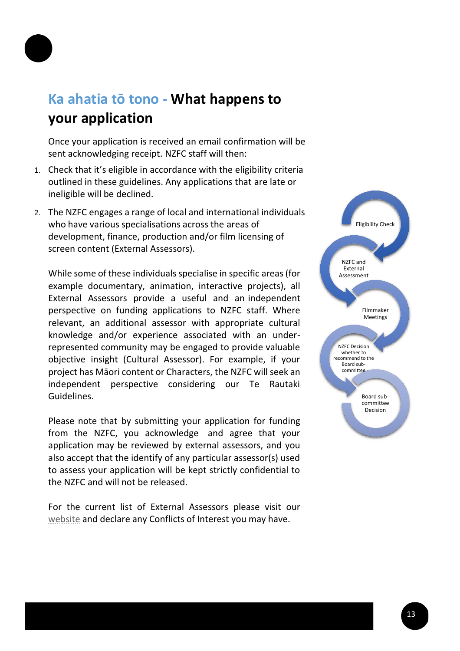

# **Ka ahatia tō tono - What happens to your application**

Once your application is received an email confirmation will be sent acknowledging receipt. NZFC staff will then:

- 1. Check that it's eligible in accordance with the eligibility criteria outlined in these guidelines. Any applications that are late or ineligible will be declined.
- 2. The NZFC engages a range of local and international individuals who have various specialisations across the areas of development, finance, production and/or film licensing of screen content (External Assessors).

While some of these individuals specialise in specific areas (for example documentary, animation, interactive projects), all External Assessors provide a useful and an independent perspective on funding applications to NZFC staff. Where relevant, an additional assessor with appropriate cultural knowledge and/or experience associated with an underrepresented community may be engaged to provide valuable objective insight (Cultural Assessor). For example, if your project has Māori content or Characters, the NZFC will seek an independent perspective considering our Te Rautaki Guidelines.

Please note that by submitting your application for funding from the NZFC, you acknowledge and agree that your application may be reviewed by external assessors, and you also accept that the identify of any particular assessor(s) used to assess your application will be kept strictly confidential to the NZFC and will not be released.

For the current list of External Assessors please visit our [website](https://www.nzfilm.co.nz/resources/external-assessor-process-production-and-development-funding) and declare any Conflicts of Interest you may have.

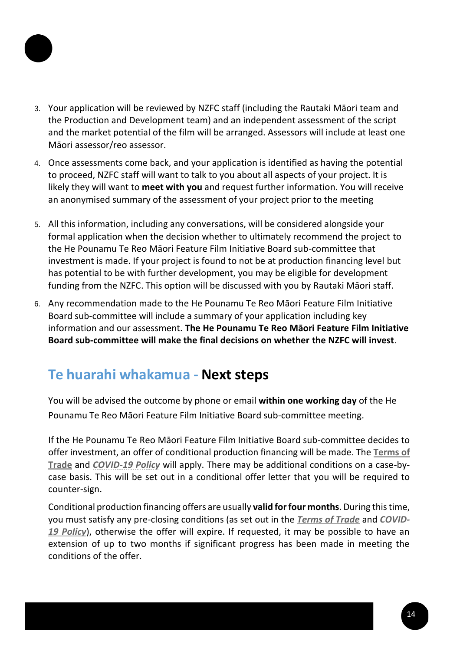

- 3. Your application will be reviewed by NZFC staff (including the Rautaki Māori team and the Production and Development team) and an independent assessment of the script and the market potential of the film will be arranged. Assessors will include at least one Māori assessor/reo assessor.
- 4. Once assessments come back, and your application is identified as having the potential to proceed, NZFC staff will want to talk to you about all aspects of your project. It is likely they will want to **meet with you** and request further information. You will receive an anonymised summary of the assessment of your project prior to the meeting
- 5. All this information, including any conversations, will be considered alongside your formal application when the decision whether to ultimately recommend the project to the He Pounamu Te Reo Māori Feature Film Initiative Board sub-committee that investment is made. If your project is found to not be at production financing level but has potential to be with further development, you may be eligible for development funding from the NZFC. This option will be discussed with you by Rautaki Māori staff.
- 6. Any recommendation made to the He Pounamu Te Reo Māori Feature Film Initiative Board sub-committee will include a summary of your application including key information and our assessment. **The He Pounamu Te Reo Māori Feature Film Initiative Board sub-committee will make the final decisions on whether the NZFC will invest**.

### **Te huarahi whakamua - Next steps**

You will be advised the outcome by phone or email **within one working day** of the He Pounamu Te Reo Māori Feature Film Initiative Board sub-committee meeting.

If the He Pounamu Te Reo Māori Feature Film Initiative Board sub-committee decides to offer investment, an offer of conditional production financing will be made. The **[Terms of](https://www.nzfilm.co.nz/resources/terms-trade) [Trade](https://www.nzfilm.co.nz/resources/terms-trade)** and *[COVID-19 Policy](https://www.nzfilm.co.nz/resources/covid-19-policy)* will apply. There may be additional conditions on a case-bycase basis. This will be set out in a conditional offer letter that you will be required to counter-sign.

Conditional production financing offers are usually **valid forfour months**. During thistime, you must satisfy any pre-closing conditions (as set out in the *[Terms of Trade](https://www.nzfilm.co.nz/resources/terms-trade)* and *[COVID-](https://www.nzfilm.co.nz/resources/covid-19-policy)[19 Policy](https://www.nzfilm.co.nz/resources/covid-19-policy)*), otherwise the offer will expire. If requested, it may be possible to have an extension of up to two months if significant progress has been made in meeting the conditions of the offer.